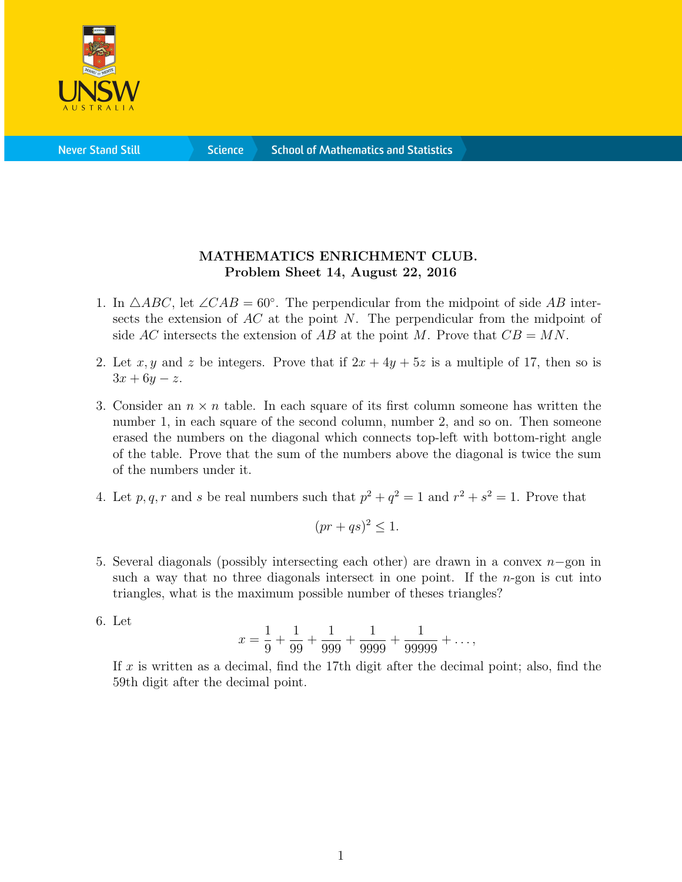

**Science** 

## MATHEMATICS ENRICHMENT CLUB. Problem Sheet 14, August 22, 2016

- 1. In  $\triangle ABC$ , let  $\angle CAB = 60°$ . The perpendicular from the midpoint of side AB intersects the extension of  $AC$  at the point N. The perpendicular from the midpoint of side AC intersects the extension of AB at the point M. Prove that  $CB = MN$ .
- 2. Let x, y and z be integers. Prove that if  $2x + 4y + 5z$  is a multiple of 17, then so is  $3x + 6y - z.$
- 3. Consider an  $n \times n$  table. In each square of its first column someone has written the number 1, in each square of the second column, number 2, and so on. Then someone erased the numbers on the diagonal which connects top-left with bottom-right angle of the table. Prove that the sum of the numbers above the diagonal is twice the sum of the numbers under it.
- 4. Let p, q, r and s be real numbers such that  $p^2 + q^2 = 1$  and  $r^2 + s^2 = 1$ . Prove that

$$
(pr+qs)^2 \le 1.
$$

- 5. Several diagonals (possibly intersecting each other) are drawn in a convex n−gon in such a way that no three diagonals intersect in one point. If the  $n$ -gon is cut into triangles, what is the maximum possible number of theses triangles?
- 6. Let

$$
x = \frac{1}{9} + \frac{1}{99} + \frac{1}{999} + \frac{1}{9999} + \frac{1}{99999} + \dots,
$$

If x is written as a decimal, find the 17th digit after the decimal point; also, find the 59th digit after the decimal point.